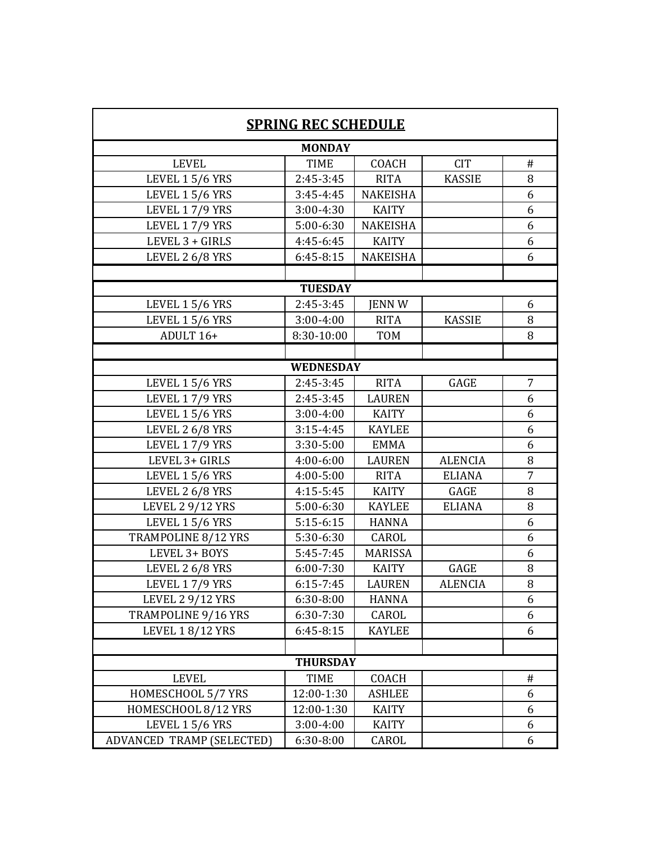| <b>SPRING REC SCHEDULE</b> |               |                 |                |                |  |  |  |  |  |
|----------------------------|---------------|-----------------|----------------|----------------|--|--|--|--|--|
| <b>MONDAY</b>              |               |                 |                |                |  |  |  |  |  |
| <b>LEVEL</b>               | <b>TIME</b>   | <b>COACH</b>    | <b>CIT</b>     | #              |  |  |  |  |  |
| LEVEL 1 5/6 YRS            | 2:45-3:45     | <b>RITA</b>     | <b>KASSIE</b>  | 8              |  |  |  |  |  |
| <b>LEVEL 1 5/6 YRS</b>     | $3:45 - 4:45$ | <b>NAKEISHA</b> |                | 6              |  |  |  |  |  |
| LEVEL 17/9 YRS             | 3:00-4:30     | <b>KAITY</b>    |                | 6              |  |  |  |  |  |
| LEVEL 17/9 YRS             | 5:00-6:30     | <b>NAKEISHA</b> |                | 6              |  |  |  |  |  |
| LEVEL 3 + GIRLS            | 4:45-6:45     | <b>KAITY</b>    |                | 6              |  |  |  |  |  |
| LEVEL 2 6/8 YRS            | $6:45-8:15$   | <b>NAKEISHA</b> |                | 6              |  |  |  |  |  |
|                            |               |                 |                |                |  |  |  |  |  |
| <b>TUESDAY</b>             |               |                 |                |                |  |  |  |  |  |
| <b>LEVEL 1 5/6 YRS</b>     | 2:45-3:45     | <b>JENN W</b>   |                | 6              |  |  |  |  |  |
| <b>LEVEL 1 5/6 YRS</b>     | $3:00 - 4:00$ | <b>RITA</b>     | <b>KASSIE</b>  | 8              |  |  |  |  |  |
| ADULT 16+                  | 8:30-10:00    | <b>TOM</b>      |                | 8              |  |  |  |  |  |
|                            |               |                 |                |                |  |  |  |  |  |
| <b>WEDNESDAY</b>           |               |                 |                |                |  |  |  |  |  |
| LEVEL 1 5/6 YRS            | 2:45-3:45     | <b>RITA</b>     | GAGE           | 7              |  |  |  |  |  |
| LEVEL 17/9 YRS             | $2:45-3:45$   | LAUREN          |                | 6              |  |  |  |  |  |
| <b>LEVEL 1 5/6 YRS</b>     | $3:00 - 4:00$ | <b>KAITY</b>    |                | 6              |  |  |  |  |  |
| LEVEL 2 6/8 YRS            | $3:15 - 4:45$ | <b>KAYLEE</b>   |                | 6              |  |  |  |  |  |
| LEVEL 17/9 YRS             | 3:30-5:00     | <b>EMMA</b>     |                | 6              |  |  |  |  |  |
| LEVEL 3+ GIRLS             | 4:00-6:00     | <b>LAUREN</b>   | <b>ALENCIA</b> | 8              |  |  |  |  |  |
| <b>LEVEL 1 5/6 YRS</b>     | 4:00-5:00     | <b>RITA</b>     | <b>ELIANA</b>  | $\overline{7}$ |  |  |  |  |  |
| LEVEL 2 6/8 YRS            | 4:15-5:45     | <b>KAITY</b>    | GAGE           | 8              |  |  |  |  |  |
| <b>LEVEL 2 9/12 YRS</b>    | 5:00-6:30     | <b>KAYLEE</b>   | <b>ELIANA</b>  | 8              |  |  |  |  |  |
| <b>LEVEL 1 5/6 YRS</b>     | $5:15-6:15$   | <b>HANNA</b>    |                | 6              |  |  |  |  |  |
| TRAMPOLINE 8/12 YRS        | 5:30-6:30     | CAROL           |                | 6              |  |  |  |  |  |
| LEVEL 3+ BOYS              | $5:45-7:45$   | <b>MARISSA</b>  |                | 6              |  |  |  |  |  |
| LEVEL 2 6/8 YRS            | $6:00 - 7:30$ | <b>KAITY</b>    | GAGE           | 8              |  |  |  |  |  |
| LEVEL 17/9 YRS             | $6:15 - 7:45$ | <b>LAUREN</b>   | <b>ALENCIA</b> | 8              |  |  |  |  |  |
| <b>LEVEL 2 9/12 YRS</b>    | 6:30-8:00     | <b>HANNA</b>    |                | 6              |  |  |  |  |  |
| TRAMPOLINE 9/16 YRS        | 6:30-7:30     | CAROL           |                | 6              |  |  |  |  |  |
| <b>LEVEL 1 8/12 YRS</b>    | $6:45-8:15$   | <b>KAYLEE</b>   |                | 6              |  |  |  |  |  |
|                            |               |                 |                |                |  |  |  |  |  |
| <b>THURSDAY</b>            |               |                 |                |                |  |  |  |  |  |
| <b>LEVEL</b>               | TIME          | COACH           |                | #              |  |  |  |  |  |
| HOMESCHOOL 5/7 YRS         | 12:00-1:30    | <b>ASHLEE</b>   |                | 6              |  |  |  |  |  |
| HOMESCHOOL 8/12 YRS        | 12:00-1:30    | KAITY           |                | 6              |  |  |  |  |  |
| LEVEL 1 5/6 YRS            | 3:00-4:00     | <b>KAITY</b>    |                | 6              |  |  |  |  |  |
| ADVANCED TRAMP (SELECTED)  | 6:30-8:00     | CAROL           |                | 6              |  |  |  |  |  |